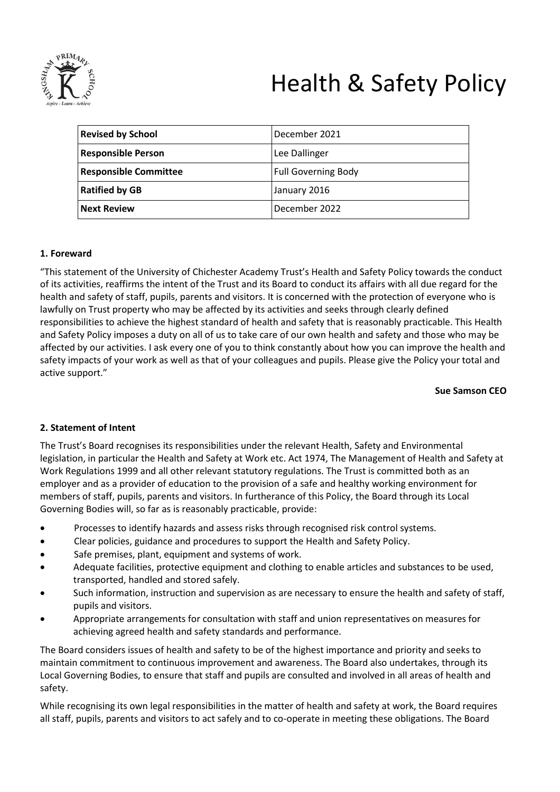

# Health & Safety Policy

| <b>Revised by School</b>     | December 2021              |
|------------------------------|----------------------------|
| <b>Responsible Person</b>    | Lee Dallinger              |
| <b>Responsible Committee</b> | <b>Full Governing Body</b> |
| <b>Ratified by GB</b>        | January 2016               |
| <b>Next Review</b>           | December 2022              |

# **1. Foreward**

"This statement of the University of Chichester Academy Trust's Health and Safety Policy towards the conduct of its activities, reaffirms the intent of the Trust and its Board to conduct its affairs with all due regard for the health and safety of staff, pupils, parents and visitors. It is concerned with the protection of everyone who is lawfully on Trust property who may be affected by its activities and seeks through clearly defined responsibilities to achieve the highest standard of health and safety that is reasonably practicable. This Health and Safety Policy imposes a duty on all of us to take care of our own health and safety and those who may be affected by our activities. I ask every one of you to think constantly about how you can improve the health and safety impacts of your work as well as that of your colleagues and pupils. Please give the Policy your total and active support."

#### **Sue Samson CEO**

# **2. Statement of Intent**

The Trust's Board recognises its responsibilities under the relevant Health, Safety and Environmental legislation, in particular the Health and Safety at Work etc. Act 1974, The Management of Health and Safety at Work Regulations 1999 and all other relevant statutory regulations. The Trust is committed both as an employer and as a provider of education to the provision of a safe and healthy working environment for members of staff, pupils, parents and visitors. In furtherance of this Policy, the Board through its Local Governing Bodies will, so far as is reasonably practicable, provide:

- Processes to identify hazards and assess risks through recognised risk control systems.
- Clear policies, guidance and procedures to support the Health and Safety Policy.
- Safe premises, plant, equipment and systems of work.
- Adequate facilities, protective equipment and clothing to enable articles and substances to be used, transported, handled and stored safely.
- Such information, instruction and supervision as are necessary to ensure the health and safety of staff, pupils and visitors.
- Appropriate arrangements for consultation with staff and union representatives on measures for achieving agreed health and safety standards and performance.

The Board considers issues of health and safety to be of the highest importance and priority and seeks to maintain commitment to continuous improvement and awareness. The Board also undertakes, through its Local Governing Bodies, to ensure that staff and pupils are consulted and involved in all areas of health and safety.

While recognising its own legal responsibilities in the matter of health and safety at work, the Board requires all staff, pupils, parents and visitors to act safely and to co-operate in meeting these obligations. The Board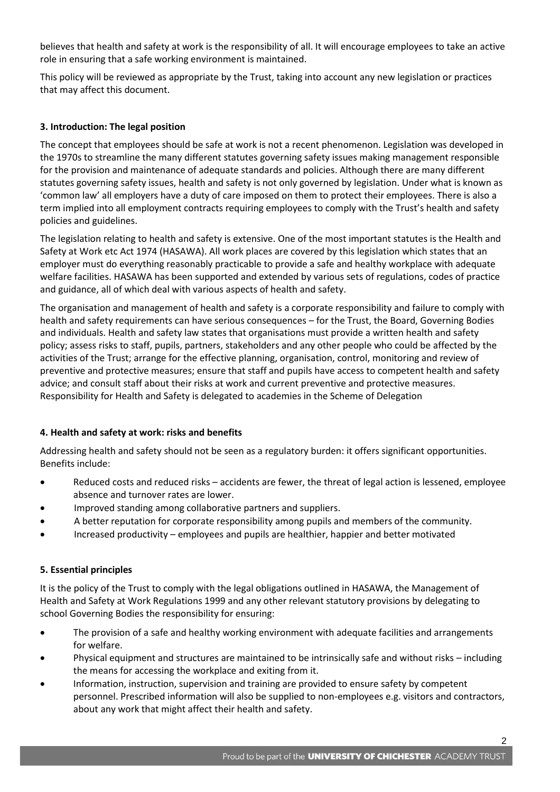believes that health and safety at work is the responsibility of all. It will encourage employees to take an active role in ensuring that a safe working environment is maintained.

This policy will be reviewed as appropriate by the Trust, taking into account any new legislation or practices that may affect this document.

# **3. Introduction: The legal position**

The concept that employees should be safe at work is not a recent phenomenon. Legislation was developed in the 1970s to streamline the many different statutes governing safety issues making management responsible for the provision and maintenance of adequate standards and policies. Although there are many different statutes governing safety issues, health and safety is not only governed by legislation. Under what is known as 'common law' all employers have a duty of care imposed on them to protect their employees. There is also a term implied into all employment contracts requiring employees to comply with the Trust's health and safety policies and guidelines.

The legislation relating to health and safety is extensive. One of the most important statutes is the Health and Safety at Work etc Act 1974 (HASAWA). All work places are covered by this legislation which states that an employer must do everything reasonably practicable to provide a safe and healthy workplace with adequate welfare facilities. HASAWA has been supported and extended by various sets of regulations, codes of practice and guidance, all of which deal with various aspects of health and safety.

The organisation and management of health and safety is a corporate responsibility and failure to comply with health and safety requirements can have serious consequences – for the Trust, the Board, Governing Bodies and individuals. Health and safety law states that organisations must provide a written health and safety policy; assess risks to staff, pupils, partners, stakeholders and any other people who could be affected by the activities of the Trust; arrange for the effective planning, organisation, control, monitoring and review of preventive and protective measures; ensure that staff and pupils have access to competent health and safety advice; and consult staff about their risks at work and current preventive and protective measures. Responsibility for Health and Safety is delegated to academies in the Scheme of Delegation

# **4. Health and safety at work: risks and benefits**

Addressing health and safety should not be seen as a regulatory burden: it offers significant opportunities. Benefits include:

- Reduced costs and reduced risks accidents are fewer, the threat of legal action is lessened, employee absence and turnover rates are lower.
- Improved standing among collaborative partners and suppliers.
- A better reputation for corporate responsibility among pupils and members of the community.
- Increased productivity employees and pupils are healthier, happier and better motivated

# **5. Essential principles**

It is the policy of the Trust to comply with the legal obligations outlined in HASAWA, the Management of Health and Safety at Work Regulations 1999 and any other relevant statutory provisions by delegating to school Governing Bodies the responsibility for ensuring:

- The provision of a safe and healthy working environment with adequate facilities and arrangements for welfare.
- Physical equipment and structures are maintained to be intrinsically safe and without risks including the means for accessing the workplace and exiting from it.
- Information, instruction, supervision and training are provided to ensure safety by competent personnel. Prescribed information will also be supplied to non-employees e.g. visitors and contractors, about any work that might affect their health and safety.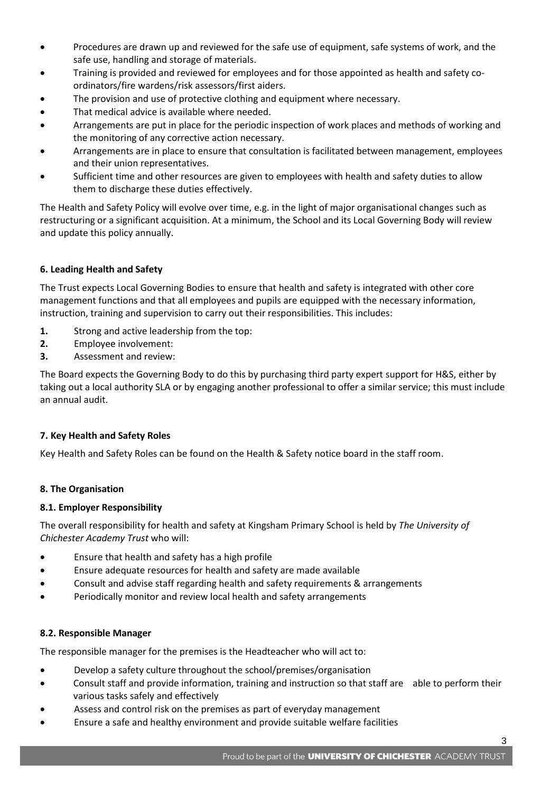- Procedures are drawn up and reviewed for the safe use of equipment, safe systems of work, and the safe use, handling and storage of materials.
- Training is provided and reviewed for employees and for those appointed as health and safety coordinators/fire wardens/risk assessors/first aiders.
- The provision and use of protective clothing and equipment where necessary.
- That medical advice is available where needed.
- Arrangements are put in place for the periodic inspection of work places and methods of working and the monitoring of any corrective action necessary.
- Arrangements are in place to ensure that consultation is facilitated between management, employees and their union representatives.
- Sufficient time and other resources are given to employees with health and safety duties to allow them to discharge these duties effectively.

The Health and Safety Policy will evolve over time, e.g. in the light of major organisational changes such as restructuring or a significant acquisition. At a minimum, the School and its Local Governing Body will review and update this policy annually.

# **6. Leading Health and Safety**

The Trust expects Local Governing Bodies to ensure that health and safety is integrated with other core management functions and that all employees and pupils are equipped with the necessary information, instruction, training and supervision to carry out their responsibilities. This includes:

- **1.** Strong and active leadership from the top:
- **2.** Employee involvement:
- **3.** Assessment and review:

The Board expects the Governing Body to do this by purchasing third party expert support for H&S, either by taking out a local authority SLA or by engaging another professional to offer a similar service; this must include an annual audit.

# **7. Key Health and Safety Roles**

Key Health and Safety Roles can be found on the Health & Safety notice board in the staff room.

# **8. The Organisation**

# **8.1. Employer Responsibility**

The overall responsibility for health and safety at Kingsham Primary School is held by *The University of Chichester Academy Trust* who will:

- Ensure that health and safety has a high profile
- Ensure adequate resources for health and safety are made available
- Consult and advise staff regarding health and safety requirements & arrangements
- Periodically monitor and review local health and safety arrangements

# **8.2. Responsible Manager**

The responsible manager for the premises is the Headteacher who will act to:

- Develop a safety culture throughout the school/premises/organisation
- Consult staff and provide information, training and instruction so that staff are able to perform their various tasks safely and effectively
- Assess and control risk on the premises as part of everyday management
- Ensure a safe and healthy environment and provide suitable welfare facilities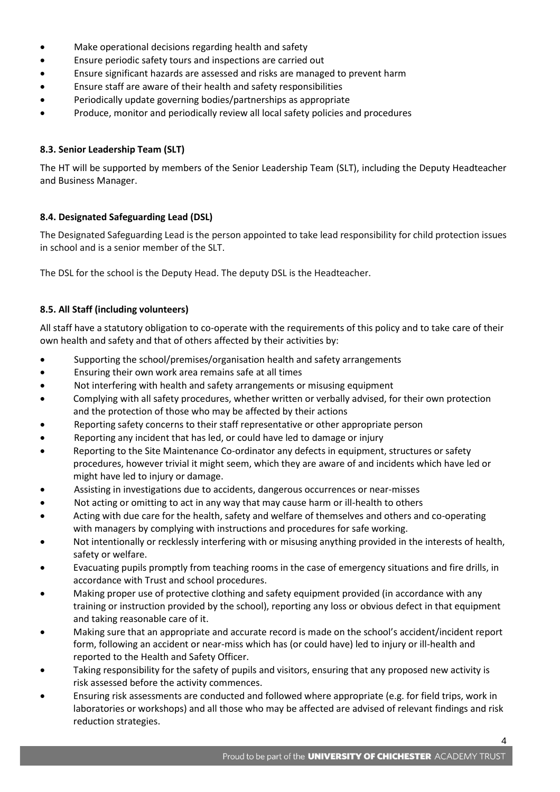- Make operational decisions regarding health and safety
- Ensure periodic safety tours and inspections are carried out
- Ensure significant hazards are assessed and risks are managed to prevent harm
- Ensure staff are aware of their health and safety responsibilities
- Periodically update governing bodies/partnerships as appropriate
- Produce, monitor and periodically review all local safety policies and procedures

# **8.3. Senior Leadership Team (SLT)**

The HT will be supported by members of the Senior Leadership Team (SLT), including the Deputy Headteacher and Business Manager.

# **8.4. Designated Safeguarding Lead (DSL)**

The Designated Safeguarding Lead is the person appointed to take lead responsibility for child protection issues in school and is a senior member of the SLT.

The DSL for the school is the Deputy Head. The deputy DSL is the Headteacher.

# **8.5. All Staff (including volunteers)**

All staff have a statutory obligation to co-operate with the requirements of this policy and to take care of their own health and safety and that of others affected by their activities by:

- Supporting the school/premises/organisation health and safety arrangements
- Ensuring their own work area remains safe at all times
- Not interfering with health and safety arrangements or misusing equipment
- Complying with all safety procedures, whether written or verbally advised, for their own protection and the protection of those who may be affected by their actions
- Reporting safety concerns to their staff representative or other appropriate person
- Reporting any incident that has led, or could have led to damage or injury
- Reporting to the Site Maintenance Co-ordinator any defects in equipment, structures or safety procedures, however trivial it might seem, which they are aware of and incidents which have led or might have led to injury or damage.
- Assisting in investigations due to accidents, dangerous occurrences or near-misses
- Not acting or omitting to act in any way that may cause harm or ill-health to others
- Acting with due care for the health, safety and welfare of themselves and others and co-operating with managers by complying with instructions and procedures for safe working.
- Not intentionally or recklessly interfering with or misusing anything provided in the interests of health, safety or welfare.
- Evacuating pupils promptly from teaching rooms in the case of emergency situations and fire drills, in accordance with Trust and school procedures.
- Making proper use of protective clothing and safety equipment provided (in accordance with any training or instruction provided by the school), reporting any loss or obvious defect in that equipment and taking reasonable care of it.
- Making sure that an appropriate and accurate record is made on the school's accident/incident report form, following an accident or near-miss which has (or could have) led to injury or ill-health and reported to the Health and Safety Officer.
- Taking responsibility for the safety of pupils and visitors, ensuring that any proposed new activity is risk assessed before the activity commences.
- Ensuring risk assessments are conducted and followed where appropriate (e.g. for field trips, work in laboratories or workshops) and all those who may be affected are advised of relevant findings and risk reduction strategies.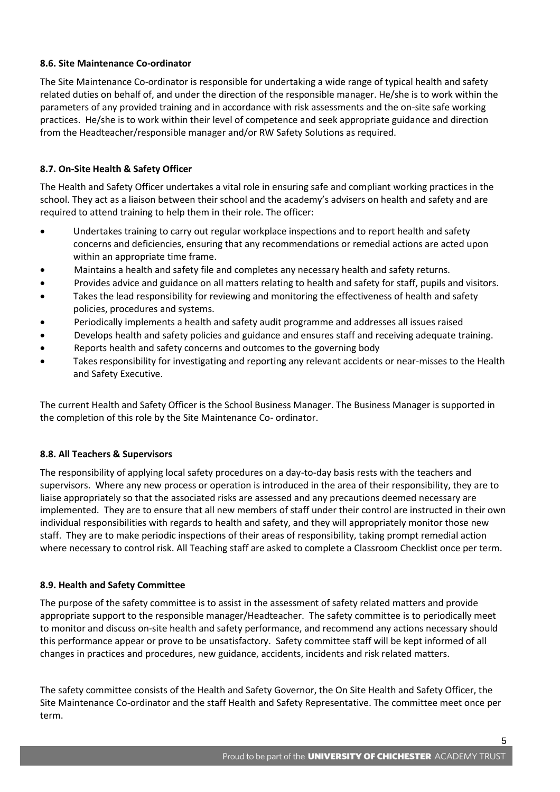# **8.6. Site Maintenance Co-ordinator**

The Site Maintenance Co-ordinator is responsible for undertaking a wide range of typical health and safety related duties on behalf of, and under the direction of the responsible manager. He/she is to work within the parameters of any provided training and in accordance with risk assessments and the on-site safe working practices. He/she is to work within their level of competence and seek appropriate guidance and direction from the Headteacher/responsible manager and/or RW Safety Solutions as required.

# **8.7. On-Site Health & Safety Officer**

The Health and Safety Officer undertakes a vital role in ensuring safe and compliant working practices in the school. They act as a liaison between their school and the academy's advisers on health and safety and are required to attend training to help them in their role. The officer:

- Undertakes training to carry out regular workplace inspections and to report health and safety concerns and deficiencies, ensuring that any recommendations or remedial actions are acted upon within an appropriate time frame.
- Maintains a health and safety file and completes any necessary health and safety returns.
- Provides advice and guidance on all matters relating to health and safety for staff, pupils and visitors.
- Takes the lead responsibility for reviewing and monitoring the effectiveness of health and safety policies, procedures and systems.
- Periodically implements a health and safety audit programme and addresses all issues raised
- Develops health and safety policies and guidance and ensures staff and receiving adequate training.
- Reports health and safety concerns and outcomes to the governing body
- Takes responsibility for investigating and reporting any relevant accidents or near-misses to the Health and Safety Executive.

The current Health and Safety Officer is the School Business Manager. The Business Manager is supported in the completion of this role by the Site Maintenance Co- ordinator.

# **8.8. All Teachers & Supervisors**

The responsibility of applying local safety procedures on a day-to-day basis rests with the teachers and supervisors. Where any new process or operation is introduced in the area of their responsibility, they are to liaise appropriately so that the associated risks are assessed and any precautions deemed necessary are implemented. They are to ensure that all new members of staff under their control are instructed in their own individual responsibilities with regards to health and safety, and they will appropriately monitor those new staff. They are to make periodic inspections of their areas of responsibility, taking prompt remedial action where necessary to control risk. All Teaching staff are asked to complete a Classroom Checklist once per term.

# **8.9. Health and Safety Committee**

The purpose of the safety committee is to assist in the assessment of safety related matters and provide appropriate support to the responsible manager/Headteacher. The safety committee is to periodically meet to monitor and discuss on-site health and safety performance, and recommend any actions necessary should this performance appear or prove to be unsatisfactory. Safety committee staff will be kept informed of all changes in practices and procedures, new guidance, accidents, incidents and risk related matters.

The safety committee consists of the Health and Safety Governor, the On Site Health and Safety Officer, the Site Maintenance Co-ordinator and the staff Health and Safety Representative. The committee meet once per term.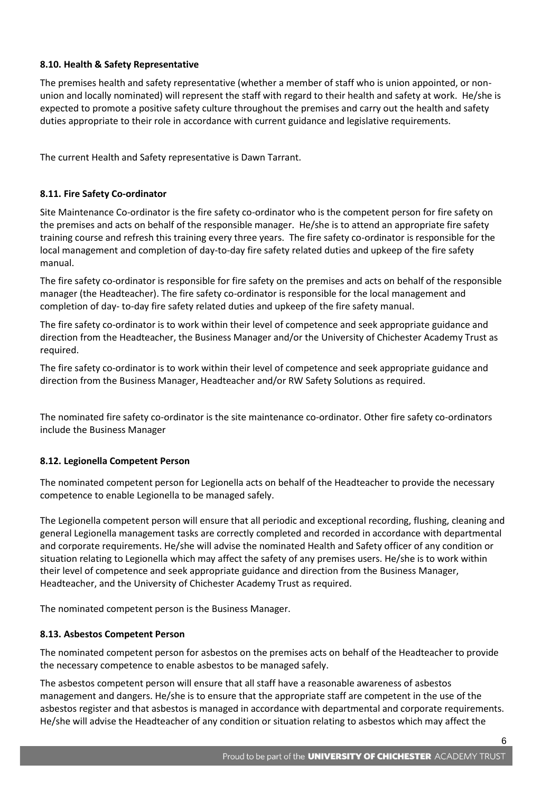# **8.10. Health & Safety Representative**

The premises health and safety representative (whether a member of staff who is union appointed, or nonunion and locally nominated) will represent the staff with regard to their health and safety at work. He/she is expected to promote a positive safety culture throughout the premises and carry out the health and safety duties appropriate to their role in accordance with current guidance and legislative requirements.

The current Health and Safety representative is Dawn Tarrant.

# **8.11. Fire Safety Co-ordinator**

Site Maintenance Co-ordinator is the fire safety co-ordinator who is the competent person for fire safety on the premises and acts on behalf of the responsible manager. He/she is to attend an appropriate fire safety training course and refresh this training every three years. The fire safety co-ordinator is responsible for the local management and completion of day-to-day fire safety related duties and upkeep of the fire safety manual.

The fire safety co-ordinator is responsible for fire safety on the premises and acts on behalf of the responsible manager (the Headteacher). The fire safety co-ordinator is responsible for the local management and completion of day- to-day fire safety related duties and upkeep of the fire safety manual.

The fire safety co-ordinator is to work within their level of competence and seek appropriate guidance and direction from the Headteacher, the Business Manager and/or the University of Chichester Academy Trust as required.

The fire safety co-ordinator is to work within their level of competence and seek appropriate guidance and direction from the Business Manager, Headteacher and/or RW Safety Solutions as required.

The nominated fire safety co-ordinator is the site maintenance co-ordinator. Other fire safety co-ordinators include the Business Manager

# **8.12. Legionella Competent Person**

The nominated competent person for Legionella acts on behalf of the Headteacher to provide the necessary competence to enable Legionella to be managed safely.

The Legionella competent person will ensure that all periodic and exceptional recording, flushing, cleaning and general Legionella management tasks are correctly completed and recorded in accordance with departmental and corporate requirements. He/she will advise the nominated Health and Safety officer of any condition or situation relating to Legionella which may affect the safety of any premises users. He/she is to work within their level of competence and seek appropriate guidance and direction from the Business Manager, Headteacher, and the University of Chichester Academy Trust as required.

The nominated competent person is the Business Manager.

# **8.13. Asbestos Competent Person**

The nominated competent person for asbestos on the premises acts on behalf of the Headteacher to provide the necessary competence to enable asbestos to be managed safely.

The asbestos competent person will ensure that all staff have a reasonable awareness of asbestos management and dangers. He/she is to ensure that the appropriate staff are competent in the use of the asbestos register and that asbestos is managed in accordance with departmental and corporate requirements. He/she will advise the Headteacher of any condition or situation relating to asbestos which may affect the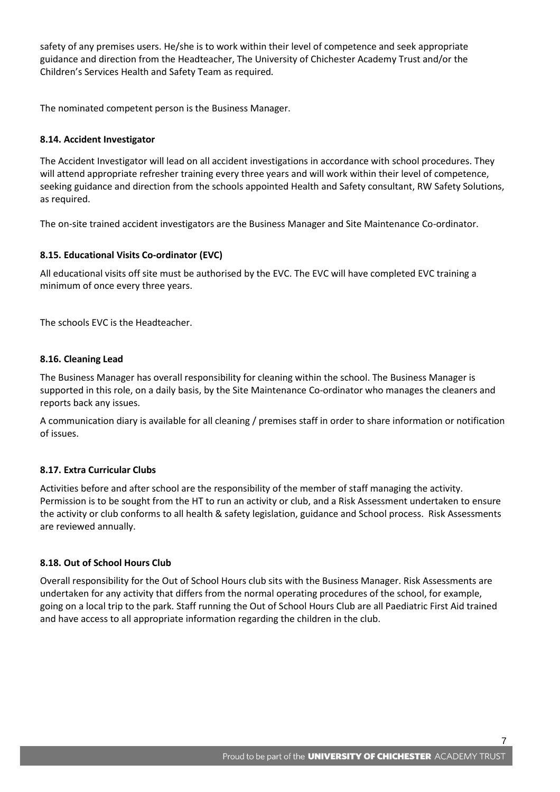safety of any premises users. He/she is to work within their level of competence and seek appropriate guidance and direction from the Headteacher, The University of Chichester Academy Trust and/or the Children's Services Health and Safety Team as required*.*

The nominated competent person is the Business Manager.

# **8.14. Accident Investigator**

The Accident Investigator will lead on all accident investigations in accordance with school procedures. They will attend appropriate refresher training every three years and will work within their level of competence, seeking guidance and direction from the schools appointed Health and Safety consultant, RW Safety Solutions, as required.

The on-site trained accident investigators are the Business Manager and Site Maintenance Co-ordinator.

# **8.15. Educational Visits Co-ordinator (EVC)**

All educational visits off site must be authorised by the EVC. The EVC will have completed EVC training a minimum of once every three years.

The schools EVC is the Headteacher.

# **8.16. Cleaning Lead**

The Business Manager has overall responsibility for cleaning within the school. The Business Manager is supported in this role, on a daily basis, by the Site Maintenance Co-ordinator who manages the cleaners and reports back any issues.

A communication diary is available for all cleaning / premises staff in order to share information or notification of issues.

# **8.17. Extra Curricular Clubs**

Activities before and after school are the responsibility of the member of staff managing the activity. Permission is to be sought from the HT to run an activity or club, and a Risk Assessment undertaken to ensure the activity or club conforms to all health & safety legislation, guidance and School process. Risk Assessments are reviewed annually.

# **8.18. Out of School Hours Club**

Overall responsibility for the Out of School Hours club sits with the Business Manager. Risk Assessments are undertaken for any activity that differs from the normal operating procedures of the school, for example, going on a local trip to the park. Staff running the Out of School Hours Club are all Paediatric First Aid trained and have access to all appropriate information regarding the children in the club.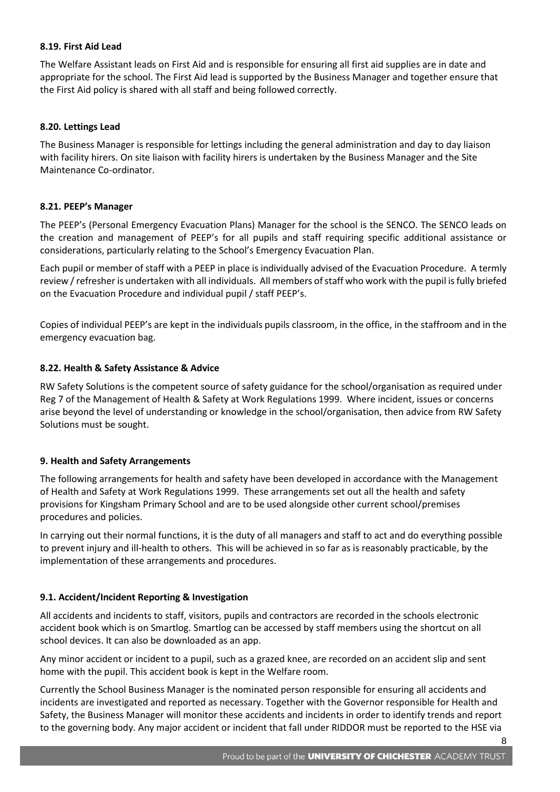# **8.19. First Aid Lead**

The Welfare Assistant leads on First Aid and is responsible for ensuring all first aid supplies are in date and appropriate for the school. The First Aid lead is supported by the Business Manager and together ensure that the First Aid policy is shared with all staff and being followed correctly.

#### **8.20. Lettings Lead**

The Business Manager is responsible for lettings including the general administration and day to day liaison with facility hirers. On site liaison with facility hirers is undertaken by the Business Manager and the Site Maintenance Co-ordinator.

#### **8.21. PEEP's Manager**

The PEEP's (Personal Emergency Evacuation Plans) Manager for the school is the SENCO. The SENCO leads on the creation and management of PEEP's for all pupils and staff requiring specific additional assistance or considerations, particularly relating to the School's Emergency Evacuation Plan.

Each pupil or member of staff with a PEEP in place is individually advised of the Evacuation Procedure. A termly review / refresher is undertaken with all individuals. All members of staff who work with the pupil is fully briefed on the Evacuation Procedure and individual pupil / staff PEEP's.

Copies of individual PEEP's are kept in the individuals pupils classroom, in the office, in the staffroom and in the emergency evacuation bag.

#### **8.22. Health & Safety Assistance & Advice**

RW Safety Solutions is the competent source of safety guidance for the school/organisation as required under Reg 7 of the Management of Health & Safety at Work Regulations 1999. Where incident, issues or concerns arise beyond the level of understanding or knowledge in the school/organisation, then advice from RW Safety Solutions must be sought.

#### **9. Health and Safety Arrangements**

The following arrangements for health and safety have been developed in accordance with the Management of Health and Safety at Work Regulations 1999. These arrangements set out all the health and safety provisions for Kingsham Primary School and are to be used alongside other current school/premises procedures and policies.

In carrying out their normal functions, it is the duty of all managers and staff to act and do everything possible to prevent injury and ill-health to others. This will be achieved in so far as is reasonably practicable, by the implementation of these arrangements and procedures.

# **9.1. Accident/Incident Reporting & Investigation**

All accidents and incidents to staff, visitors, pupils and contractors are recorded in the schools electronic accident book which is on Smartlog. Smartlog can be accessed by staff members using the shortcut on all school devices. It can also be downloaded as an app.

Any minor accident or incident to a pupil, such as a grazed knee, are recorded on an accident slip and sent home with the pupil. This accident book is kept in the Welfare room.

Currently the School Business Manager is the nominated person responsible for ensuring all accidents and incidents are investigated and reported as necessary. Together with the Governor responsible for Health and Safety, the Business Manager will monitor these accidents and incidents in order to identify trends and report to the governing body. Any major accident or incident that fall under RIDDOR must be reported to the HSE via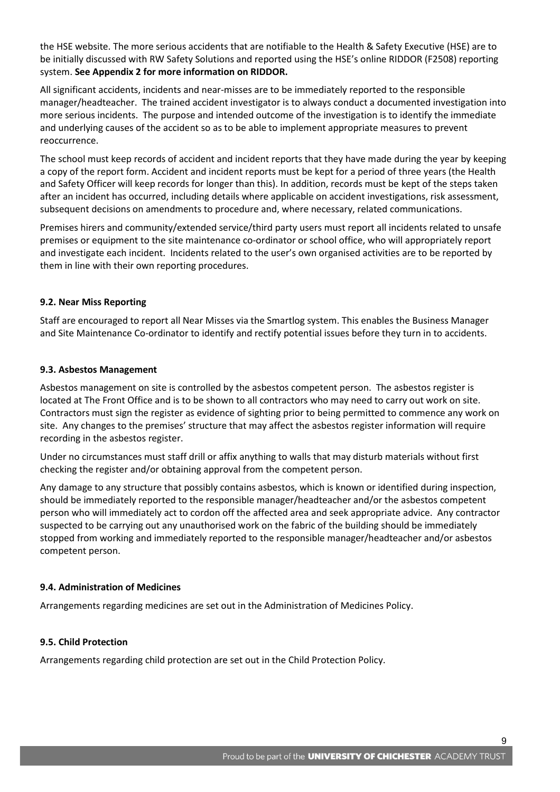the HSE website. The more serious accidents that are notifiable to the Health & Safety Executive (HSE) are to be initially discussed with RW Safety Solutions and reported using the HSE's online RIDDOR (F2508) reporting system. **See Appendix 2 for more information on RIDDOR.**

All significant accidents, incidents and near-misses are to be immediately reported to the responsible manager/headteacher. The trained accident investigator is to always conduct a documented investigation into more serious incidents. The purpose and intended outcome of the investigation is to identify the immediate and underlying causes of the accident so as to be able to implement appropriate measures to prevent reoccurrence.

The school must keep records of accident and incident reports that they have made during the year by keeping a copy of the report form. Accident and incident reports must be kept for a period of three years (the Health and Safety Officer will keep records for longer than this). In addition, records must be kept of the steps taken after an incident has occurred, including details where applicable on accident investigations, risk assessment, subsequent decisions on amendments to procedure and, where necessary, related communications.

Premises hirers and community/extended service/third party users must report all incidents related to unsafe premises or equipment to the site maintenance co-ordinator or school office, who will appropriately report and investigate each incident. Incidents related to the user's own organised activities are to be reported by them in line with their own reporting procedures.

# **9.2. Near Miss Reporting**

Staff are encouraged to report all Near Misses via the Smartlog system. This enables the Business Manager and Site Maintenance Co-ordinator to identify and rectify potential issues before they turn in to accidents.

# **9.3. Asbestos Management**

Asbestos management on site is controlled by the asbestos competent person. The asbestos register is located at The Front Office and is to be shown to all contractors who may need to carry out work on site. Contractors must sign the register as evidence of sighting prior to being permitted to commence any work on site. Any changes to the premises' structure that may affect the asbestos register information will require recording in the asbestos register.

Under no circumstances must staff drill or affix anything to walls that may disturb materials without first checking the register and/or obtaining approval from the competent person.

Any damage to any structure that possibly contains asbestos, which is known or identified during inspection, should be immediately reported to the responsible manager/headteacher and/or the asbestos competent person who will immediately act to cordon off the affected area and seek appropriate advice. Any contractor suspected to be carrying out any unauthorised work on the fabric of the building should be immediately stopped from working and immediately reported to the responsible manager/headteacher and/or asbestos competent person.

# **9.4. Administration of Medicines**

Arrangements regarding medicines are set out in the Administration of Medicines Policy.

# **9.5. Child Protection**

Arrangements regarding child protection are set out in the Child Protection Policy.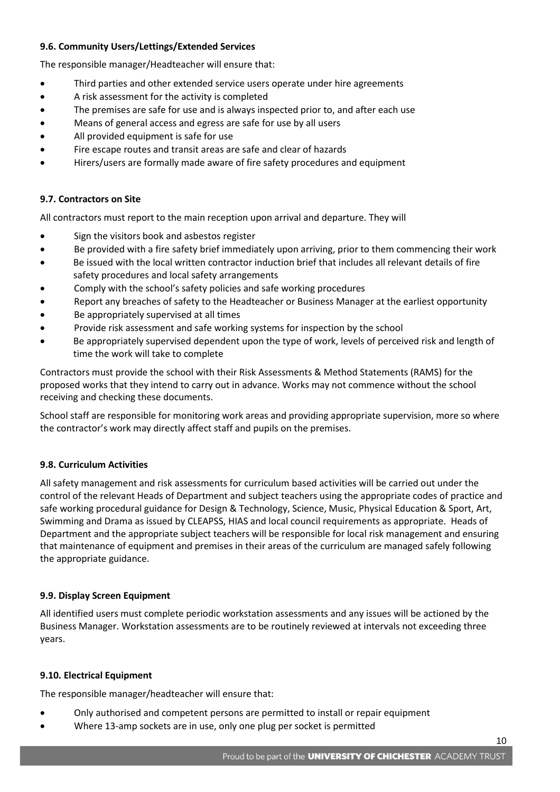# **9.6. Community Users/Lettings/Extended Services**

The responsible manager/Headteacher will ensure that:

- Third parties and other extended service users operate under hire agreements
- A risk assessment for the activity is completed
- The premises are safe for use and is always inspected prior to, and after each use
- Means of general access and egress are safe for use by all users
- All provided equipment is safe for use
- Fire escape routes and transit areas are safe and clear of hazards
- Hirers/users are formally made aware of fire safety procedures and equipment

# **9.7. Contractors on Site**

All contractors must report to the main reception upon arrival and departure. They will

- Sign the visitors book and asbestos register
- Be provided with a fire safety brief immediately upon arriving, prior to them commencing their work
- Be issued with the local written contractor induction brief that includes all relevant details of fire safety procedures and local safety arrangements
- Comply with the school's safety policies and safe working procedures
- Report any breaches of safety to the Headteacher or Business Manager at the earliest opportunity
- Be appropriately supervised at all times
- Provide risk assessment and safe working systems for inspection by the school
- Be appropriately supervised dependent upon the type of work, levels of perceived risk and length of time the work will take to complete

Contractors must provide the school with their Risk Assessments & Method Statements (RAMS) for the proposed works that they intend to carry out in advance. Works may not commence without the school receiving and checking these documents.

School staff are responsible for monitoring work areas and providing appropriate supervision, more so where the contractor's work may directly affect staff and pupils on the premises.

# **9.8. Curriculum Activities**

All safety management and risk assessments for curriculum based activities will be carried out under the control of the relevant Heads of Department and subject teachers using the appropriate codes of practice and safe working procedural guidance for Design & Technology, Science, Music, Physical Education & Sport, Art, Swimming and Drama as issued by CLEAPSS, HIAS and local council requirements as appropriate. Heads of Department and the appropriate subject teachers will be responsible for local risk management and ensuring that maintenance of equipment and premises in their areas of the curriculum are managed safely following the appropriate guidance.

# **9.9. Display Screen Equipment**

All identified users must complete periodic workstation assessments and any issues will be actioned by the Business Manager. Workstation assessments are to be routinely reviewed at intervals not exceeding three years.

# **9.10. Electrical Equipment**

The responsible manager/headteacher will ensure that:

- Only authorised and competent persons are permitted to install or repair equipment
- Where 13-amp sockets are in use, only one plug per socket is permitted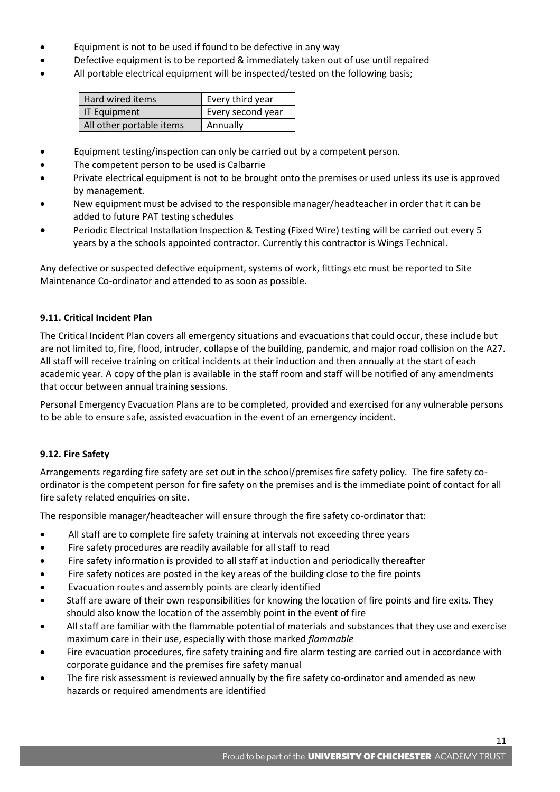- Equipment is not to be used if found to be defective in any way
- Defective equipment is to be reported & immediately taken out of use until repaired
- All portable electrical equipment will be inspected/tested on the following basis;

| Hard wired items         | Every third year  |
|--------------------------|-------------------|
| IT Equipment             | Every second year |
| All other portable items | Annually          |

- Equipment testing/inspection can only be carried out by a competent person.
- The competent person to be used is Calbarrie
- Private electrical equipment is not to be brought onto the premises or used unless its use is approved by management.
- New equipment must be advised to the responsible manager/headteacher in order that it can be added to future PAT testing schedules
- Periodic Electrical Installation Inspection & Testing (Fixed Wire) testing will be carried out every 5 years by a the schools appointed contractor. Currently this contractor is Wings Technical.

Any defective or suspected defective equipment, systems of work, fittings etc must be reported to Site Maintenance Co-ordinator and attended to as soon as possible.

# **9.11. Critical Incident Plan**

The Critical Incident Plan covers all emergency situations and evacuations that could occur, these include but are not limited to, fire, flood, intruder, collapse of the building, pandemic, and major road collision on the A27. All staff will receive training on critical incidents at their induction and then annually at the start of each academic year. A copy of the plan is available in the staff room and staff will be notified of any amendments that occur between annual training sessions.

Personal Emergency Evacuation Plans are to be completed, provided and exercised for any vulnerable persons to be able to ensure safe, assisted evacuation in the event of an emergency incident.

# **9.12. Fire Safety**

Arrangements regarding fire safety are set out in the school/premises fire safety policy. The fire safety coordinator is the competent person for fire safety on the premises and is the immediate point of contact for all fire safety related enquiries on site.

The responsible manager/headteacher will ensure through the fire safety co-ordinator that:

- All staff are to complete fire safety training at intervals not exceeding three years
- Fire safety procedures are readily available for all staff to read
- Fire safety information is provided to all staff at induction and periodically thereafter
- Fire safety notices are posted in the key areas of the building close to the fire points
- Evacuation routes and assembly points are clearly identified
- Staff are aware of their own responsibilities for knowing the location of fire points and fire exits. They should also know the location of the assembly point in the event of fire
- All staff are familiar with the flammable potential of materials and substances that they use and exercise maximum care in their use, especially with those marked *flammable*
- Fire evacuation procedures, fire safety training and fire alarm testing are carried out in accordance with corporate guidance and the premises fire safety manual
- The fire risk assessment is reviewed annually by the fire safety co-ordinator and amended as new hazards or required amendments are identified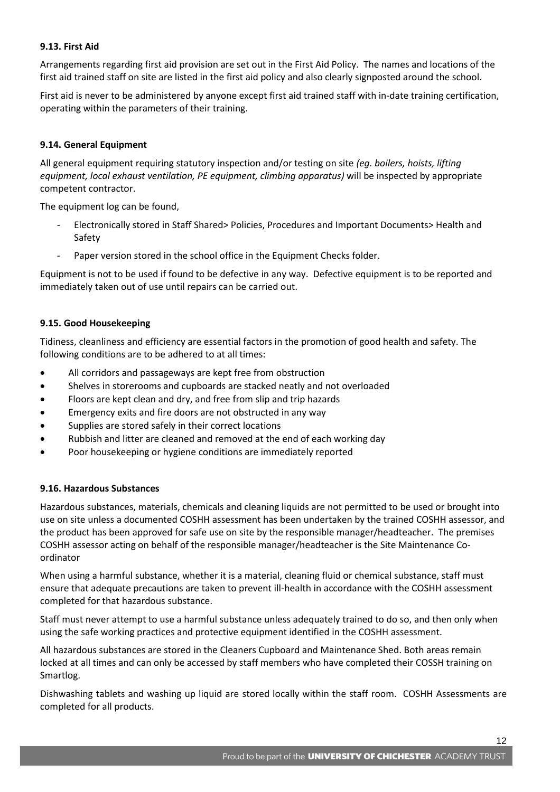# **9.13. First Aid**

Arrangements regarding first aid provision are set out in the First Aid Policy. The names and locations of the first aid trained staff on site are listed in the first aid policy and also clearly signposted around the school.

First aid is never to be administered by anyone except first aid trained staff with in-date training certification, operating within the parameters of their training.

# **9.14. General Equipment**

All general equipment requiring statutory inspection and/or testing on site *(eg. boilers, hoists, lifting equipment, local exhaust ventilation, PE equipment, climbing apparatus)* will be inspected by appropriate competent contractor.

The equipment log can be found,

- Electronically stored in Staff Shared> Policies, Procedures and Important Documents> Health and Safety
- Paper version stored in the school office in the Equipment Checks folder.

Equipment is not to be used if found to be defective in any way. Defective equipment is to be reported and immediately taken out of use until repairs can be carried out.

# **9.15. Good Housekeeping**

Tidiness, cleanliness and efficiency are essential factors in the promotion of good health and safety. The following conditions are to be adhered to at all times:

- All corridors and passageways are kept free from obstruction
- Shelves in storerooms and cupboards are stacked neatly and not overloaded
- Floors are kept clean and dry, and free from slip and trip hazards
- **Emergency exits and fire doors are not obstructed in any way**
- **•** Supplies are stored safely in their correct locations
- Rubbish and litter are cleaned and removed at the end of each working day
- Poor housekeeping or hygiene conditions are immediately reported

# **9.16. Hazardous Substances**

Hazardous substances, materials, chemicals and cleaning liquids are not permitted to be used or brought into use on site unless a documented COSHH assessment has been undertaken by the trained COSHH assessor, and the product has been approved for safe use on site by the responsible manager/headteacher. The premises COSHH assessor acting on behalf of the responsible manager/headteacher is the Site Maintenance Coordinator

When using a harmful substance, whether it is a material, cleaning fluid or chemical substance, staff must ensure that adequate precautions are taken to prevent ill-health in accordance with the COSHH assessment completed for that hazardous substance.

Staff must never attempt to use a harmful substance unless adequately trained to do so, and then only when using the safe working practices and protective equipment identified in the COSHH assessment.

All hazardous substances are stored in the Cleaners Cupboard and Maintenance Shed. Both areas remain locked at all times and can only be accessed by staff members who have completed their COSSH training on Smartlog.

Dishwashing tablets and washing up liquid are stored locally within the staff room. COSHH Assessments are completed for all products.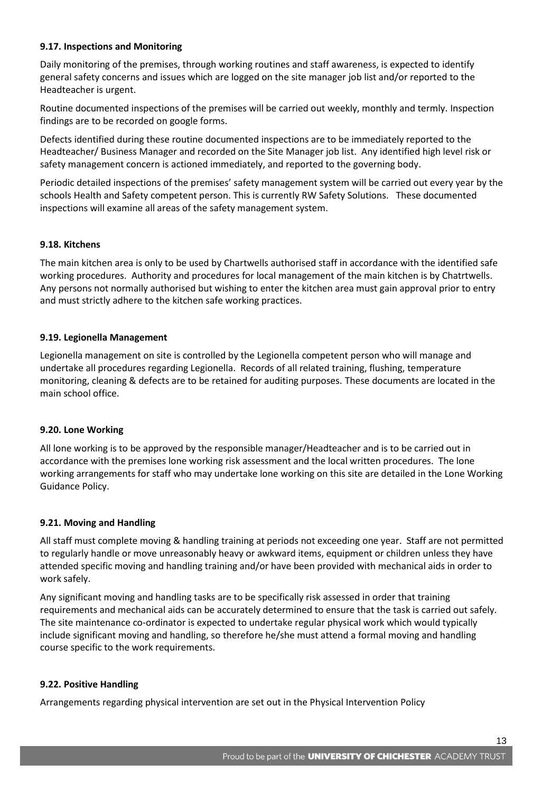# **9.17. Inspections and Monitoring**

Daily monitoring of the premises, through working routines and staff awareness, is expected to identify general safety concerns and issues which are logged on the site manager job list and/or reported to the Headteacher is urgent.

Routine documented inspections of the premises will be carried out weekly, monthly and termly. Inspection findings are to be recorded on google forms.

Defects identified during these routine documented inspections are to be immediately reported to the Headteacher/ Business Manager and recorded on the Site Manager job list. Any identified high level risk or safety management concern is actioned immediately, and reported to the governing body.

Periodic detailed inspections of the premises' safety management system will be carried out every year by the schools Health and Safety competent person. This is currently RW Safety Solutions. These documented inspections will examine all areas of the safety management system.

# **9.18. Kitchens**

The main kitchen area is only to be used by Chartwells authorised staff in accordance with the identified safe working procedures. Authority and procedures for local management of the main kitchen is by Chatrtwells. Any persons not normally authorised but wishing to enter the kitchen area must gain approval prior to entry and must strictly adhere to the kitchen safe working practices.

# **9.19. Legionella Management**

Legionella management on site is controlled by the Legionella competent person who will manage and undertake all procedures regarding Legionella. Records of all related training, flushing, temperature monitoring, cleaning & defects are to be retained for auditing purposes. These documents are located in the main school office.

# **9.20. Lone Working**

All lone working is to be approved by the responsible manager/Headteacher and is to be carried out in accordance with the premises lone working risk assessment and the local written procedures. The lone working arrangements for staff who may undertake lone working on this site are detailed in the Lone Working Guidance Policy.

# **9.21. Moving and Handling**

All staff must complete moving & handling training at periods not exceeding one year. Staff are not permitted to regularly handle or move unreasonably heavy or awkward items, equipment or children unless they have attended specific moving and handling training and/or have been provided with mechanical aids in order to work safely.

Any significant moving and handling tasks are to be specifically risk assessed in order that training requirements and mechanical aids can be accurately determined to ensure that the task is carried out safely. The site maintenance co-ordinator is expected to undertake regular physical work which would typically include significant moving and handling, so therefore he/she must attend a formal moving and handling course specific to the work requirements.

# **9.22. Positive Handling**

Arrangements regarding physical intervention are set out in the Physical Intervention Policy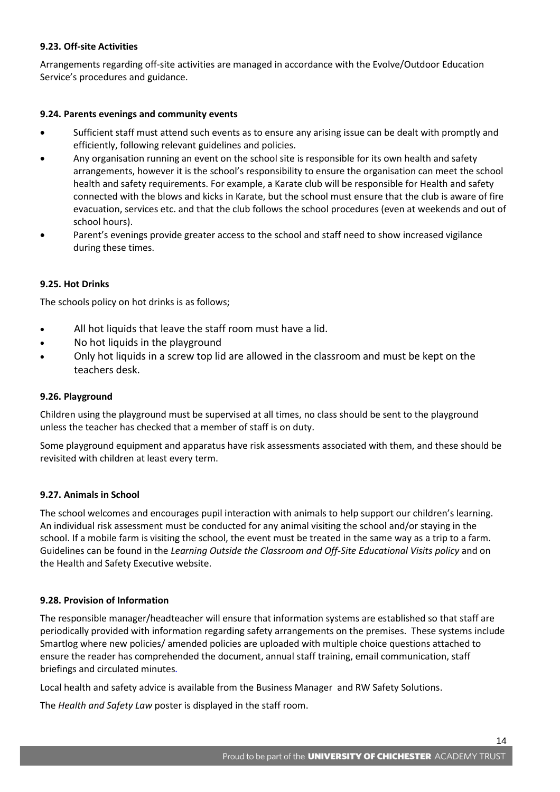# **9.23. Off-site Activities**

Arrangements regarding off-site activities are managed in accordance with the Evolve/Outdoor Education Service's procedures and guidance.

# **9.24. Parents evenings and community events**

- Sufficient staff must attend such events as to ensure any arising issue can be dealt with promptly and efficiently, following relevant guidelines and policies.
- Any organisation running an event on the school site is responsible for its own health and safety arrangements, however it is the school's responsibility to ensure the organisation can meet the school health and safety requirements. For example, a Karate club will be responsible for Health and safety connected with the blows and kicks in Karate, but the school must ensure that the club is aware of fire evacuation, services etc. and that the club follows the school procedures (even at weekends and out of school hours).
- Parent's evenings provide greater access to the school and staff need to show increased vigilance during these times.

# **9.25. Hot Drinks**

The schools policy on hot drinks is as follows;

- All hot liquids that leave the staff room must have a lid.
- No hot liquids in the playground
- Only hot liquids in a screw top lid are allowed in the classroom and must be kept on the teachers desk.

# **9.26. Playground**

Children using the playground must be supervised at all times, no class should be sent to the playground unless the teacher has checked that a member of staff is on duty.

Some playground equipment and apparatus have risk assessments associated with them, and these should be revisited with children at least every term.

# **9.27. Animals in School**

The school welcomes and encourages pupil interaction with animals to help support our children's learning. An individual risk assessment must be conducted for any animal visiting the school and/or staying in the school. If a mobile farm is visiting the school, the event must be treated in the same way as a trip to a farm. Guidelines can be found in the *Learning Outside the Classroom and Off-Site Educational Visits policy* and on the Health and Safety Executive website.

# **9.28. Provision of Information**

The responsible manager/headteacher will ensure that information systems are established so that staff are periodically provided with information regarding safety arrangements on the premises. These systems include Smartlog where new policies/ amended policies are uploaded with multiple choice questions attached to ensure the reader has comprehended the document, annual staff training, email communication, staff briefings and circulated minutes*.*

Local health and safety advice is available from the Business Manager and RW Safety Solutions.

The *Health and Safety Law* poster is displayed in the staff room.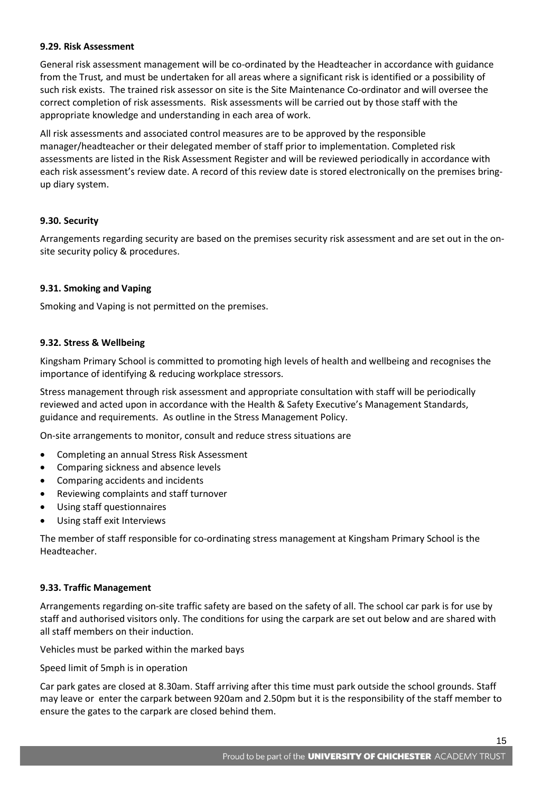#### **9.29. Risk Assessment**

General risk assessment management will be co-ordinated by the Headteacher in accordance with guidance from the Trust*,* and must be undertaken for all areas where a significant risk is identified or a possibility of such risk exists. The trained risk assessor on site is the Site Maintenance Co-ordinator and will oversee the correct completion of risk assessments. Risk assessments will be carried out by those staff with the appropriate knowledge and understanding in each area of work.

All risk assessments and associated control measures are to be approved by the responsible manager/headteacher or their delegated member of staff prior to implementation. Completed risk assessments are listed in the Risk Assessment Register and will be reviewed periodically in accordance with each risk assessment's review date. A record of this review date is stored electronically on the premises bringup diary system.

# **9.30. Security**

Arrangements regarding security are based on the premises security risk assessment and are set out in the onsite security policy & procedures.

# **9.31. Smoking and Vaping**

Smoking and Vaping is not permitted on the premises.

# **9.32. Stress & Wellbeing**

Kingsham Primary School is committed to promoting high levels of health and wellbeing and recognises the importance of identifying & reducing workplace stressors.

Stress management through risk assessment and appropriate consultation with staff will be periodically reviewed and acted upon in accordance with the Health & Safety Executive's Management Standards, guidance and requirements. As outline in the Stress Management Policy.

On-site arrangements to monitor, consult and reduce stress situations are

- Completing an annual Stress Risk Assessment
- Comparing sickness and absence levels
- Comparing accidents and incidents
- Reviewing complaints and staff turnover
- Using staff questionnaires
- Using staff exit Interviews

The member of staff responsible for co-ordinating stress management at Kingsham Primary School is the Headteacher.

# **9.33. Traffic Management**

Arrangements regarding on-site traffic safety are based on the safety of all. The school car park is for use by staff and authorised visitors only. The conditions for using the carpark are set out below and are shared with all staff members on their induction.

Vehicles must be parked within the marked bays

Speed limit of 5mph is in operation

Car park gates are closed at 8.30am. Staff arriving after this time must park outside the school grounds. Staff may leave or enter the carpark between 920am and 2.50pm but it is the responsibility of the staff member to ensure the gates to the carpark are closed behind them.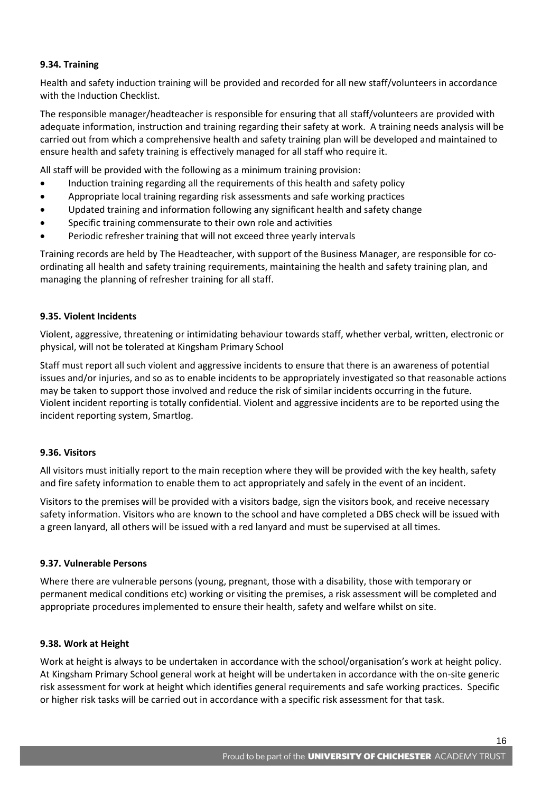# **9.34. Training**

Health and safety induction training will be provided and recorded for all new staff/volunteers in accordance with the Induction Checklist.

The responsible manager/headteacher is responsible for ensuring that all staff/volunteers are provided with adequate information, instruction and training regarding their safety at work. A training needs analysis will be carried out from which a comprehensive health and safety training plan will be developed and maintained to ensure health and safety training is effectively managed for all staff who require it.

All staff will be provided with the following as a minimum training provision:

- Induction training regarding all the requirements of this health and safety policy
- Appropriate local training regarding risk assessments and safe working practices
- Updated training and information following any significant health and safety change
- Specific training commensurate to their own role and activities
- Periodic refresher training that will not exceed three yearly intervals

Training records are held by The Headteacher, with support of the Business Manager, are responsible for coordinating all health and safety training requirements, maintaining the health and safety training plan, and managing the planning of refresher training for all staff.

# **9.35. Violent Incidents**

Violent, aggressive, threatening or intimidating behaviour towards staff, whether verbal, written, electronic or physical, will not be tolerated at Kingsham Primary School

Staff must report all such violent and aggressive incidents to ensure that there is an awareness of potential issues and/or injuries, and so as to enable incidents to be appropriately investigated so that reasonable actions may be taken to support those involved and reduce the risk of similar incidents occurring in the future. Violent incident reporting is totally confidential. Violent and aggressive incidents are to be reported using the incident reporting system, Smartlog.

# **9.36. Visitors**

All visitors must initially report to the main reception where they will be provided with the key health, safety and fire safety information to enable them to act appropriately and safely in the event of an incident.

Visitors to the premises will be provided with a visitors badge, sign the visitors book, and receive necessary safety information. Visitors who are known to the school and have completed a DBS check will be issued with a green lanyard, all others will be issued with a red lanyard and must be supervised at all times.

# **9.37. Vulnerable Persons**

Where there are vulnerable persons (young, pregnant, those with a disability, those with temporary or permanent medical conditions etc) working or visiting the premises, a risk assessment will be completed and appropriate procedures implemented to ensure their health, safety and welfare whilst on site.

# **9.38. Work at Height**

Work at height is always to be undertaken in accordance with the school/organisation's work at height policy. At Kingsham Primary School general work at height will be undertaken in accordance with the on-site generic risk assessment for work at height which identifies general requirements and safe working practices. Specific or higher risk tasks will be carried out in accordance with a specific risk assessment for that task.